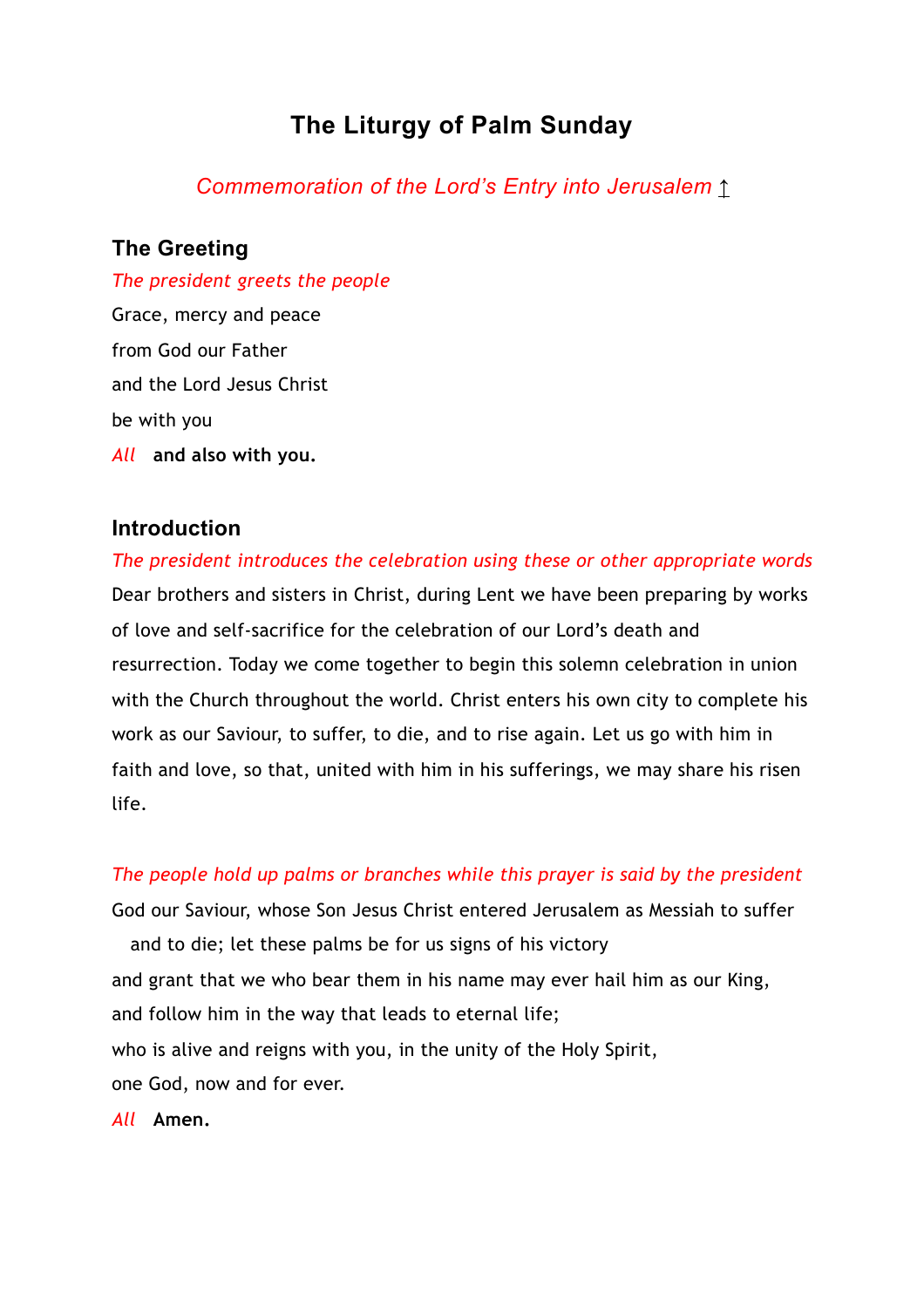# **The Liturgy of Palm Sunday**

*Commemoration of the Lord's Entry into Jerusalem* [↑](https://www.churchofengland.org/prayer-and-worship/worship-texts-and-resources/common-worship/churchs-year/times-and-seasons/passiontide-and-holy-week#block-cofe-content)

## **The Greeting**

*The president greets the people* Grace, mercy and peace from God our Father and the Lord Jesus Christ be with you *All* **and also with you.**

## **Introduction**

*The president introduces the celebration using these or other appropriate words* Dear brothers and sisters in Christ, during Lent we have been preparing by works of love and self-sacrifice for the celebration of our Lord's death and resurrection. Today we come together to begin this solemn celebration in union with the Church throughout the world. Christ enters his own city to complete his work as our Saviour, to suffer, to die, and to rise again. Let us go with him in faith and love, so that, united with him in his sufferings, we may share his risen life.

#### *The people hold up palms or branches while this prayer is said by the president*

God our Saviour, whose Son Jesus Christ entered Jerusalem as Messiah to suffer and to die; let these palms be for us signs of his victory and grant that we who bear them in his name may ever hail him as our King, and follow him in the way that leads to eternal life; who is alive and reigns with you, in the unity of the Holy Spirit, one God, now and for ever.

*All* **Amen.**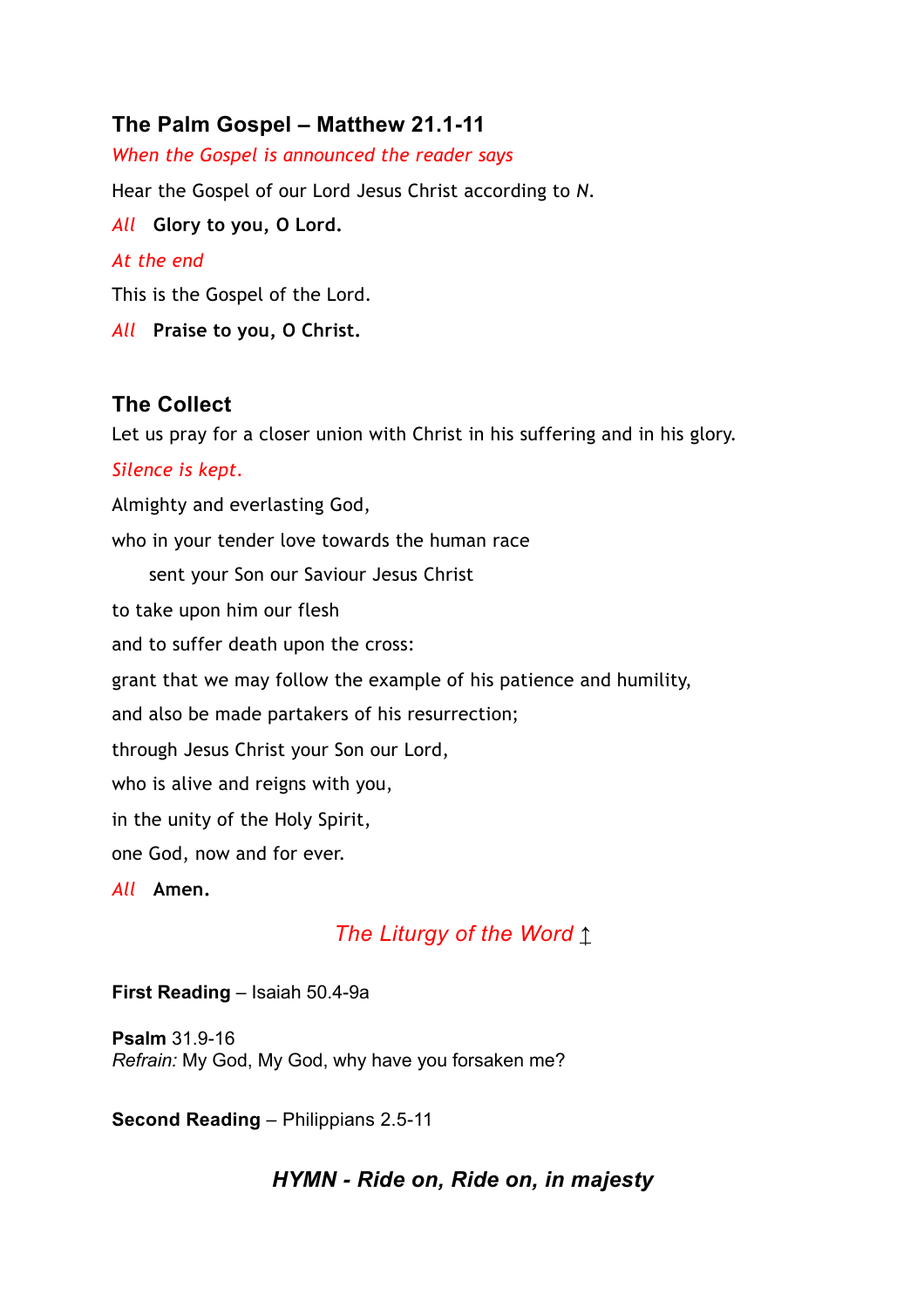## **The Palm Gospel – Matthew 21.1-11**

*When the Gospel is announced the reader says* Hear the Gospel of our Lord Jesus Christ according to *N*. *All* **Glory to you, O Lord.** *At the end* This is the Gospel of the Lord. *All* **Praise to you, O Christ.**

## **The Collect**

Let us pray for a closer union with Christ in his suffering and in his glory.

#### *Silence is kept.*

Almighty and everlasting God,

who in your tender love towards the human race

sent your Son our Saviour Jesus Christ

to take upon him our flesh

and to suffer death upon the cross:

grant that we may follow the example of his patience and humility,

and also be made partakers of his resurrection;

through Jesus Christ your Son our Lord,

who is alive and reigns with you,

in the unity of the Holy Spirit,

one God, now and for ever.

*All* **Amen.**

## *The Liturgy of the Word* [↑](https://www.churchofengland.org/prayer-and-worship/worship-texts-and-resources/common-worship/churchs-year/times-and-seasons/passiontide-and-holy-week#block-cofe-content)

#### **First Reading** – Isaiah 50.4-9a

**Psalm** 31.9-16 *Refrain:* My God, My God, why have you forsaken me?

**Second Reading** – Philippians 2.5-11

## *HYMN - Ride on, Ride on, in majesty*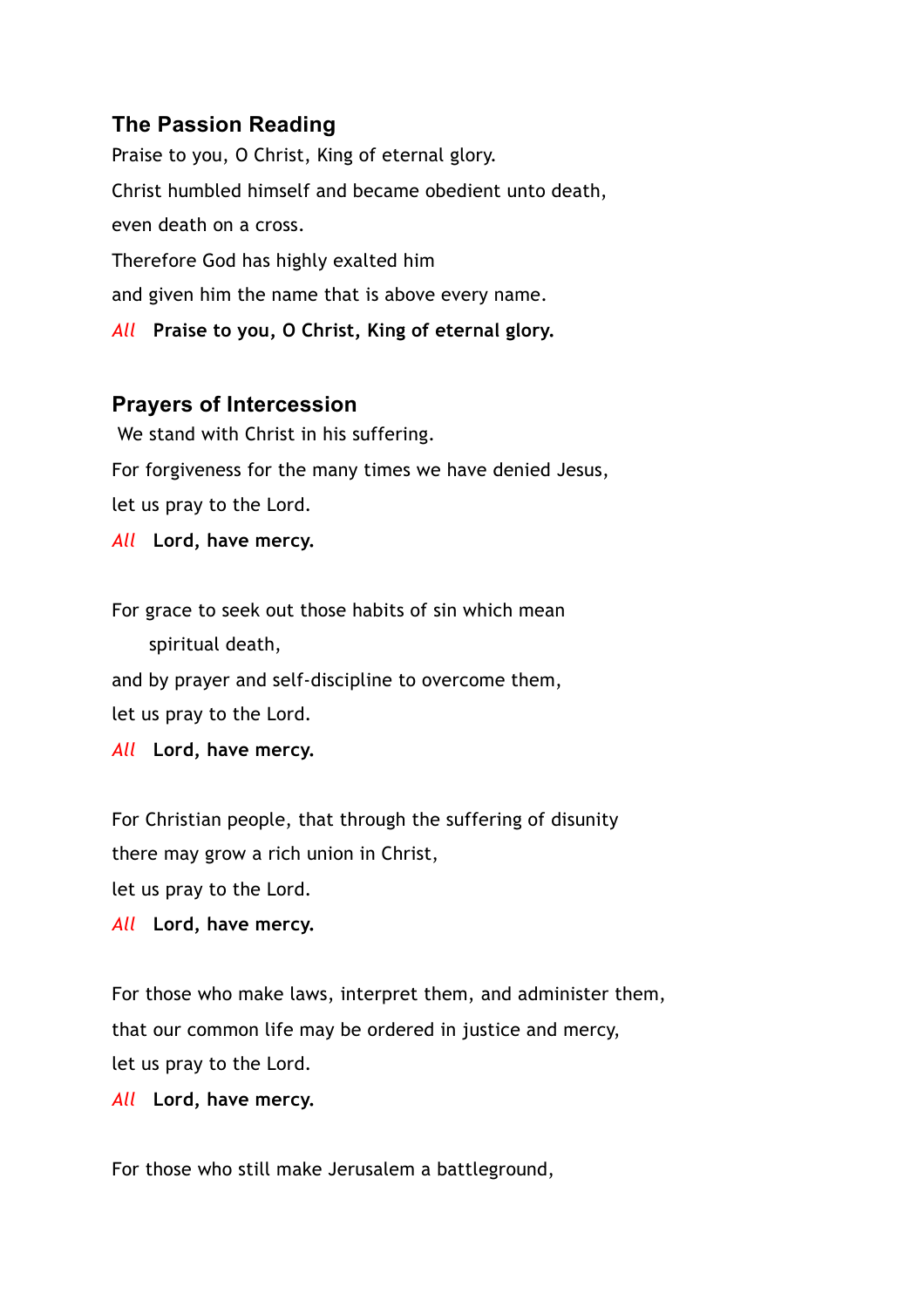## **The Passion Reading**

Praise to you, O Christ, King of eternal glory. Christ humbled himself and became obedient unto death, even death on a cross. Therefore God has highly exalted him and given him the name that is above every name. *All* **Praise to you, O Christ, King of eternal glory.**

#### **Prayers of Intercession**

 We stand with Christ in his suffering. For forgiveness for the many times we have denied Jesus, let us pray to the Lord.

*All* **Lord, have mercy.**

For grace to seek out those habits of sin which mean spiritual death,

and by prayer and self-discipline to overcome them, let us pray to the Lord.

*All* **Lord, have mercy.**

For Christian people, that through the suffering of disunity there may grow a rich union in Christ, let us pray to the Lord.

*All* **Lord, have mercy.** 

For those who make laws, interpret them, and administer them, that our common life may be ordered in justice and mercy, let us pray to the Lord.

*All* **Lord, have mercy.** 

For those who still make Jerusalem a battleground,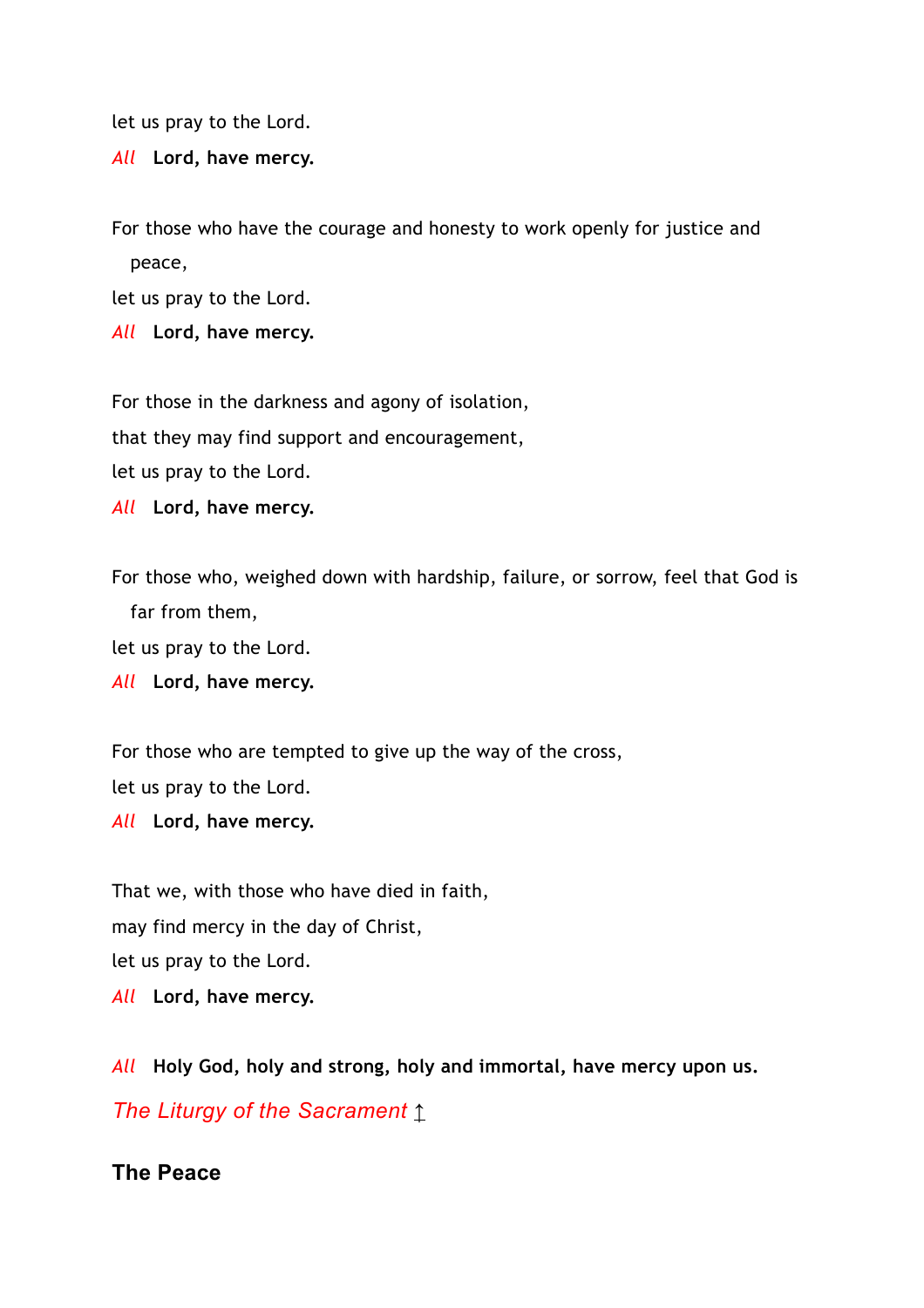let us pray to the Lord.

*All* **Lord, have mercy.** 

For those who have the courage and honesty to work openly for justice and peace,

let us pray to the Lord.

*All* **Lord, have mercy.** 

For those in the darkness and agony of isolation, that they may find support and encouragement, let us pray to the Lord.

*All* **Lord, have mercy.** 

For those who, weighed down with hardship, failure, or sorrow, feel that God is far from them, let us pray to the Lord.

*All* **Lord, have mercy.** 

For those who are tempted to give up the way of the cross,

let us pray to the Lord.

*All* **Lord, have mercy.** 

That we, with those who have died in faith, may find mercy in the day of Christ, let us pray to the Lord. *All* **Lord, have mercy.** 

*All* **Holy God, holy and strong, holy and immortal, have mercy upon us.**

*The Liturgy of the Sacrament* [↑](https://www.churchofengland.org/prayer-and-worship/worship-texts-and-resources/common-worship/churchs-year/times-and-seasons/passiontide-and-holy-week#block-cofe-content)

#### **The Peace**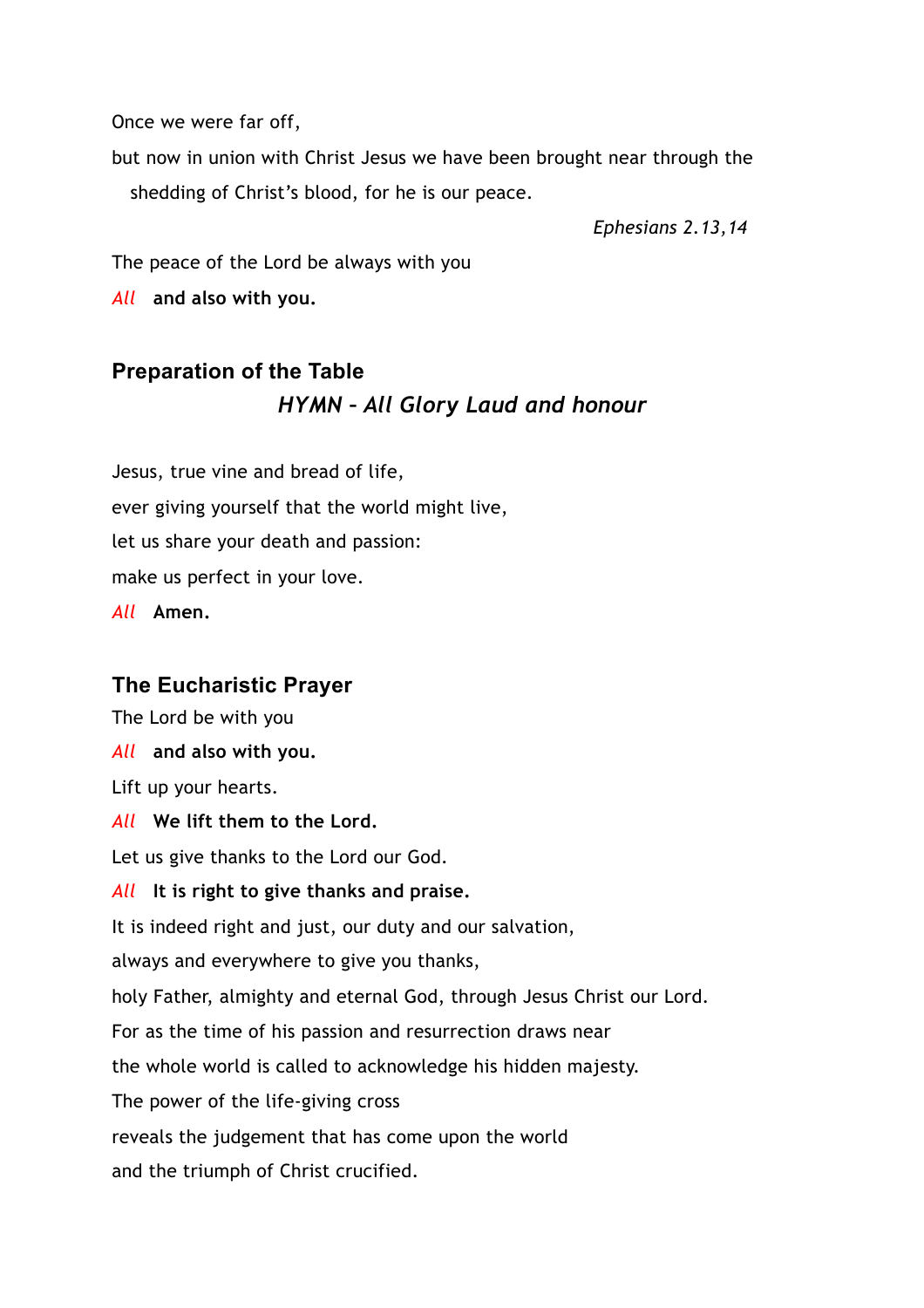Once we were far off,

but now in union with Christ Jesus we have been brought near through the shedding of Christ's blood, for he is our peace.

*Ephesians 2.13,14*

The peace of the Lord be always with you

*All* **and also with you.**

# **Preparation of the Table** *HYMN – All Glory Laud and honour*

Jesus, true vine and bread of life, ever giving yourself that the world might live, let us share your death and passion: make us perfect in your love. *All* **Amen.**

## **The Eucharistic Prayer**

The Lord be with you

*All* **and also with you.**

Lift up your hearts.

*All* **We lift them to the Lord.**

Let us give thanks to the Lord our God.

#### *All* **It is right to give thanks and praise.**

It is indeed right and just, our duty and our salvation,

always and everywhere to give you thanks,

holy Father, almighty and eternal God, through Jesus Christ our Lord.

For as the time of his passion and resurrection draws near

the whole world is called to acknowledge his hidden majesty.

The power of the life-giving cross

reveals the judgement that has come upon the world

and the triumph of Christ crucified.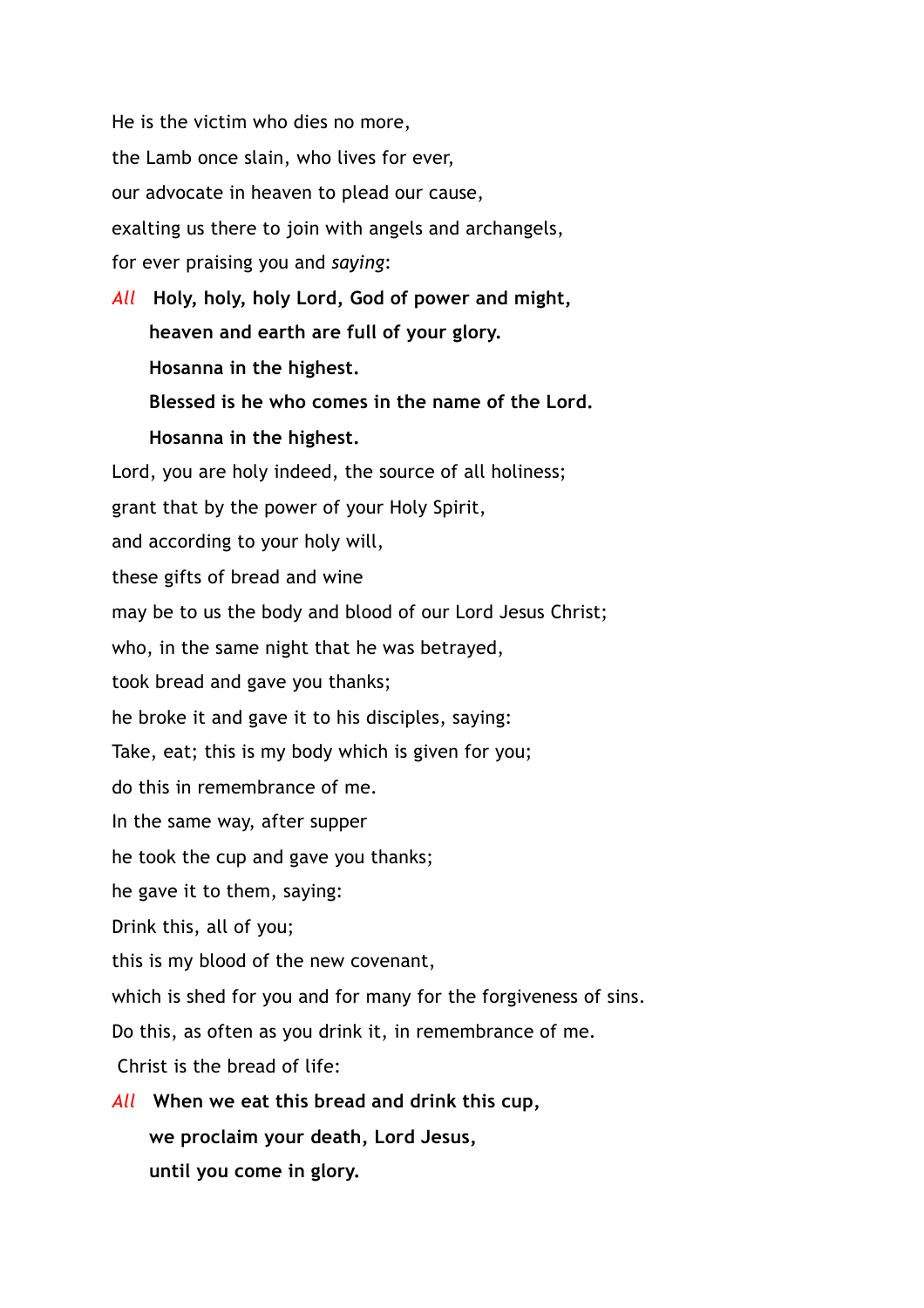He is the victim who dies no more, the Lamb once slain, who lives for ever, our advocate in heaven to plead our cause, exalting us there to join with angels and archangels, for ever praising you and *saying*:

*All* **Holy, holy, holy Lord, God of power and might, heaven and earth are full of your glory. Hosanna in the highest. Blessed is he who comes in the name of the Lord. Hosanna in the highest.**

Lord, you are holy indeed, the source of all holiness; grant that by the power of your Holy Spirit, and according to your holy will, these gifts of bread and wine may be to us the body and blood of our Lord Jesus Christ; who, in the same night that he was betrayed, took bread and gave you thanks; he broke it and gave it to his disciples, saying: Take, eat; this is my body which is given for you; do this in remembrance of me. In the same way, after supper he took the cup and gave you thanks; he gave it to them, saying: Drink this, all of you; this is my blood of the new covenant, which is shed for you and for many for the forgiveness of sins. Do this, as often as you drink it, in remembrance of me. Christ is the bread of life: *All* **When we eat this bread and drink this cup, we proclaim your death, Lord Jesus,**

**until you come in glory.**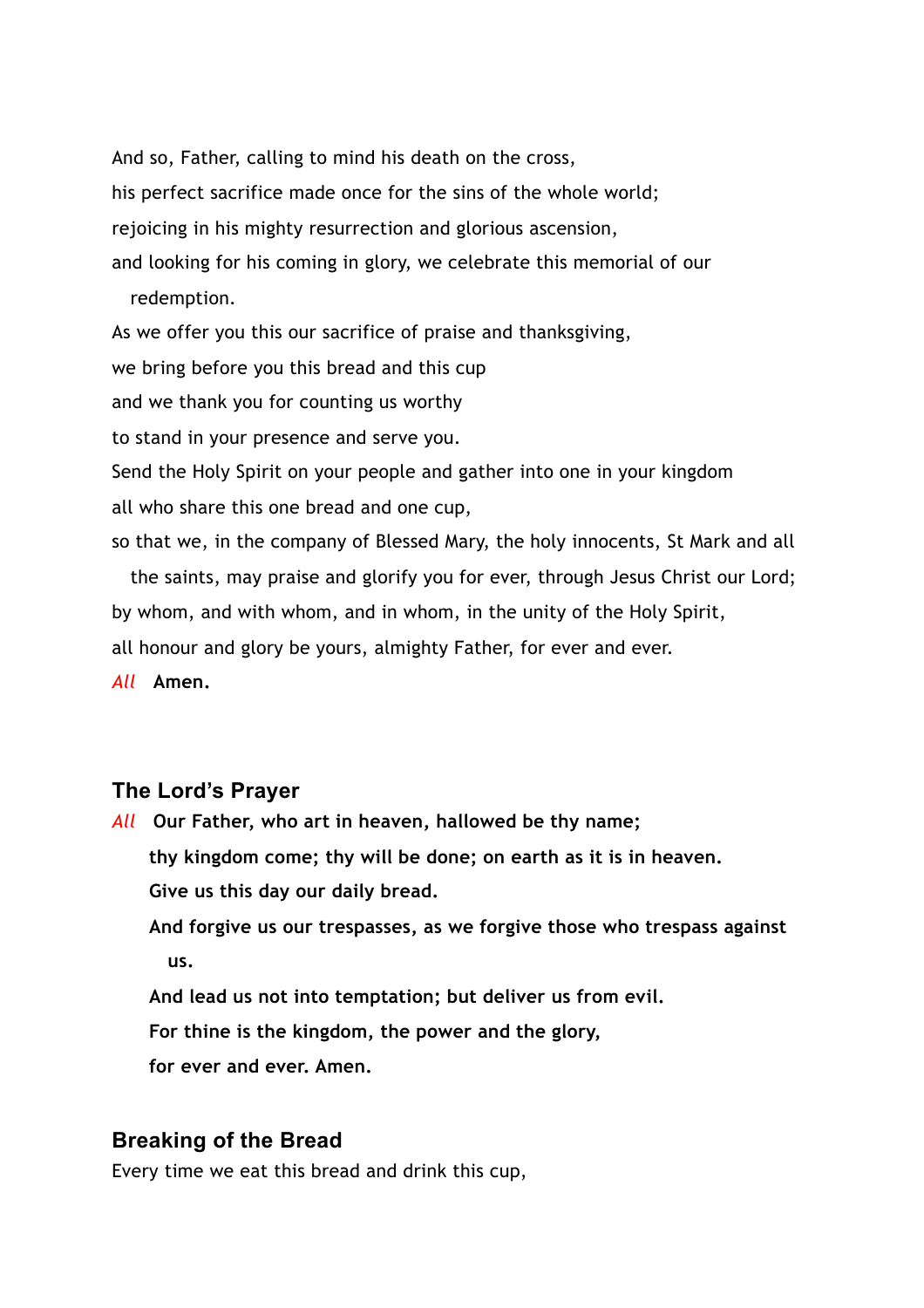And so, Father, calling to mind his death on the cross, his perfect sacrifice made once for the sins of the whole world; rejoicing in his mighty resurrection and glorious ascension, and looking for his coming in glory, we celebrate this memorial of our redemption.

As we offer you this our sacrifice of praise and thanksgiving,

we bring before you this bread and this cup

and we thank you for counting us worthy

to stand in your presence and serve you.

Send the Holy Spirit on your people and gather into one in your kingdom all who share this one bread and one cup,

so that we, in the company of Blessed Mary, the holy innocents, St Mark and all

the saints, may praise and glorify you for ever, through Jesus Christ our Lord; by whom, and with whom, and in whom, in the unity of the Holy Spirit,

all honour and glory be yours, almighty Father, for ever and ever.

*All* **Amen.**

#### **The Lord's Prayer**

*All* **Our Father, who art in heaven, hallowed be thy name; thy kingdom come; thy will be done; on earth as it is in heaven. Give us this day our daily bread. And forgive us our trespasses, as we forgive those who trespass against us.**

**And lead us not into temptation; but deliver us from evil.**

**For thine is the kingdom, the power and the glory,**

**for ever and ever. Amen.**

#### **Breaking of the Bread**

Every time we eat this bread and drink this cup,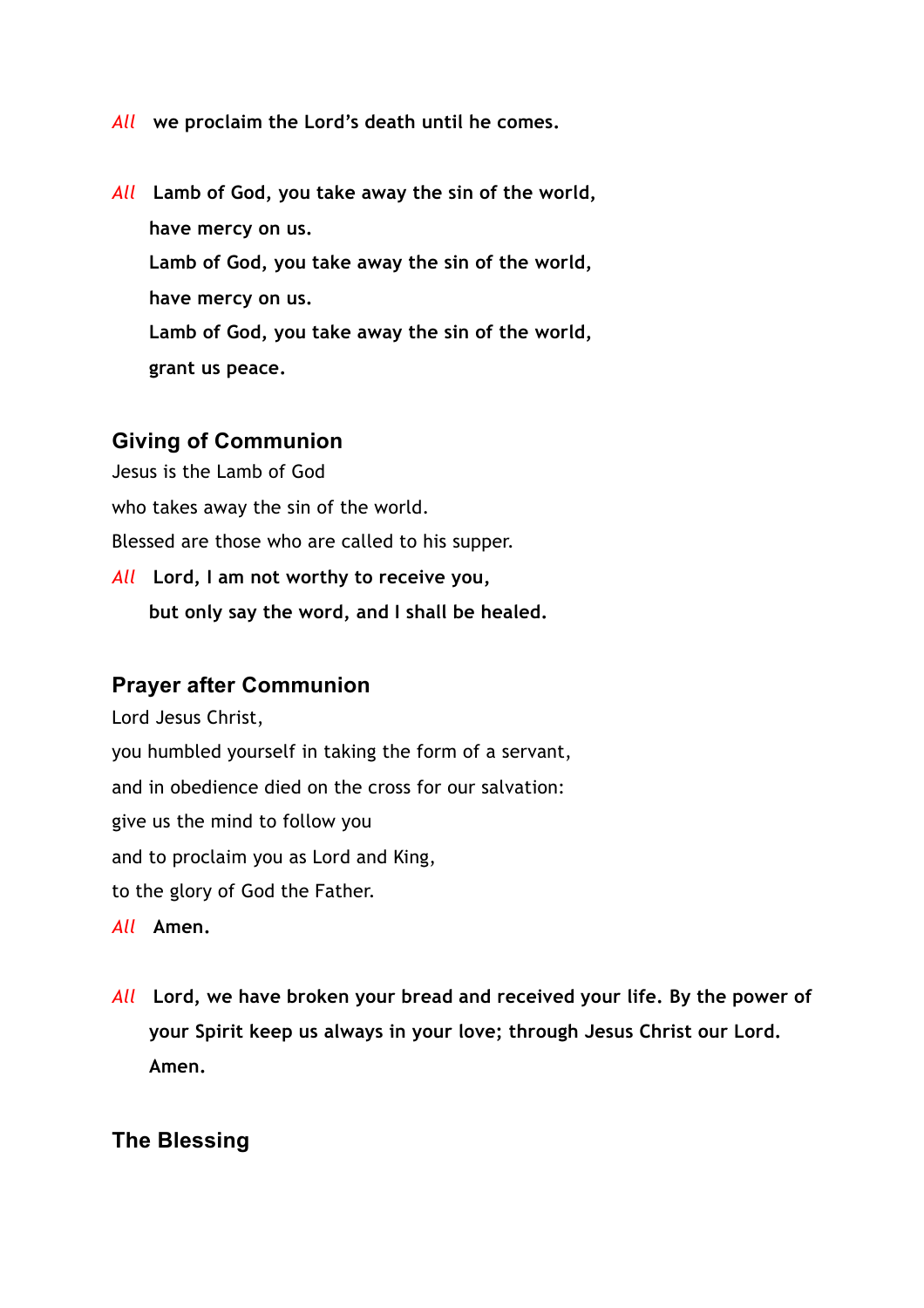- *All* **we proclaim the Lord's death until he comes.**
- *All* **Lamb of God, you take away the sin of the world, have mercy on us. Lamb of God, you take away the sin of the world, have mercy on us. Lamb of God, you take away the sin of the world, grant us peace.**

### **Giving of Communion**

Jesus is the Lamb of God

who takes away the sin of the world.

Blessed are those who are called to his supper.

*All* **Lord, I am not worthy to receive you, but only say the word, and I shall be healed.**

#### **Prayer after Communion**

Lord Jesus Christ, you humbled yourself in taking the form of a servant, and in obedience died on the cross for our salvation: give us the mind to follow you and to proclaim you as Lord and King, to the glory of God the Father.

*All* **Amen.** 

*All* **Lord, we have broken your bread and received your life. By the power of your Spirit keep us always in your love; through Jesus Christ our Lord. Amen.**

#### **The Blessing**